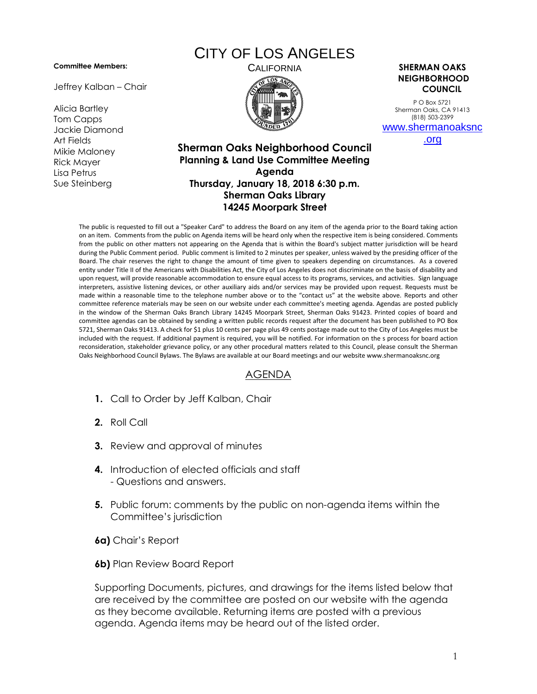#### **Committee Members:**

Jeffrey Kalban – Chair

Alicia Bartley Tom Capps Jackie Diamond Art Fields Mikie Maloney Rick Mayer Lisa Petrus Sue Steinberg

# CITY OF LOS ANGELES



#### CALIFORNIA **SHERMAN OAKS NEIGHBORHOOD COUNCIL**

P O Box 5721 Sherman Oaks, CA 91413 (818) 503-2399 [www.shermanoaksnc](http://www.shermanoaksnc.org/)

[.org](http://www.shermanoaksnc.org/)

### **Sherman Oaks Neighborhood Council Planning & Land Use Committee Meeting Agenda Thursday, January 18, 2018 6:30 p.m. Sherman Oaks Library 14245 Moorpark Street**

The public is requested to fill out a "Speaker Card" to address the Board on any item of the agenda prior to the Board taking action on an item. Comments from the public on Agenda items will be heard only when the respective item is being considered. Comments from the public on other matters not appearing on the Agenda that is within the Board's subject matter jurisdiction will be heard during the Public Comment period. Public comment is limited to 2 minutes per speaker, unless waived by the presiding officer of the Board. The chair reserves the right to change the amount of time given to speakers depending on circumstances. As a covered entity under Title II of the Americans with Disabilities Act, the City of Los Angeles does not discriminate on the basis of disability and upon request, will provide reasonable accommodation to ensure equal access to its programs, services, and activities. Sign language interpreters, assistive listening devices, or other auxiliary aids and/or services may be provided upon request. Requests must be made within a reasonable time to the telephone number above or to the "contact us" at the website above. Reports and other committee reference materials may be seen on our website under each committee's meeting agenda. Agendas are posted publicly in the window of the Sherman Oaks Branch Library 14245 Moorpark Street, Sherman Oaks 91423. Printed copies of board and committee agendas can be obtained by sending a written public records request after the document has been published to PO Box 5721, Sherman Oaks 91413. A check for \$1 plus 10 cents per page plus 49 cents postage made out to the City of Los Angeles must be included with the request. If additional payment is required, you will be notified. For information on the s process for board action reconsideration, stakeholder grievance policy, or any other procedural matters related to this Council, please consult the Sherman Oaks Neighborhood Council Bylaws. The Bylaws are available at our Board meetings and our website www.shermanoaksnc.org

## AGENDA

- **1.** Call to Order by Jeff Kalban, Chair
- **2.** Roll Call
- **3.** Review and approval of minutes
- **4.** Introduction of elected officials and staff - Questions and answers.
- **5.** Public forum: comments by the public on non-agenda items within the Committee's jurisdiction
- **6a)** Chair's Report
- **6b)** Plan Review Board Report

Supporting Documents, pictures, and drawings for the items listed below that are received by the committee are posted on our website with the agenda as they become available. Returning items are posted with a previous agenda. Agenda items may be heard out of the listed order.